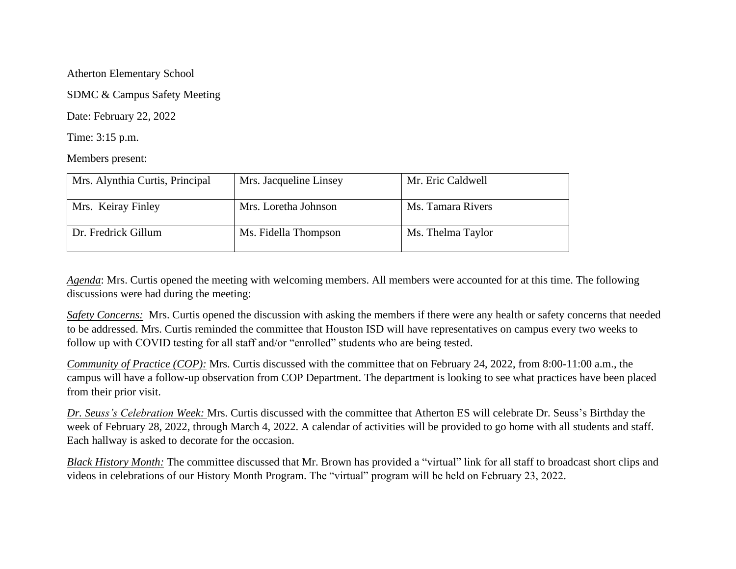Atherton Elementary School

SDMC & Campus Safety Meeting

Date: February 22, 2022

Time: 3:15 p.m.

Members present:

| Mrs. Alynthia Curtis, Principal | Mrs. Jacqueline Linsey | Mr. Eric Caldwell |
|---------------------------------|------------------------|-------------------|
| Mrs. Keiray Finley              | Mrs. Loretha Johnson   | Ms. Tamara Rivers |
| Dr. Fredrick Gillum             | Ms. Fidella Thompson   | Ms. Thelma Taylor |

*Agenda*: Mrs. Curtis opened the meeting with welcoming members. All members were accounted for at this time. The following discussions were had during the meeting:

*Safety Concerns:* Mrs. Curtis opened the discussion with asking the members if there were any health or safety concerns that needed to be addressed. Mrs. Curtis reminded the committee that Houston ISD will have representatives on campus every two weeks to follow up with COVID testing for all staff and/or "enrolled" students who are being tested.

*Community of Practice (COP):* Mrs. Curtis discussed with the committee that on February 24, 2022, from 8:00-11:00 a.m., the campus will have a follow-up observation from COP Department. The department is looking to see what practices have been placed from their prior visit.

*Dr. Seuss's Celebration Week:* Mrs. Curtis discussed with the committee that Atherton ES will celebrate Dr. Seuss's Birthday the week of February 28, 2022, through March 4, 2022. A calendar of activities will be provided to go home with all students and staff. Each hallway is asked to decorate for the occasion.

*Black History Month:* The committee discussed that Mr. Brown has provided a "virtual" link for all staff to broadcast short clips and videos in celebrations of our History Month Program. The "virtual" program will be held on February 23, 2022.